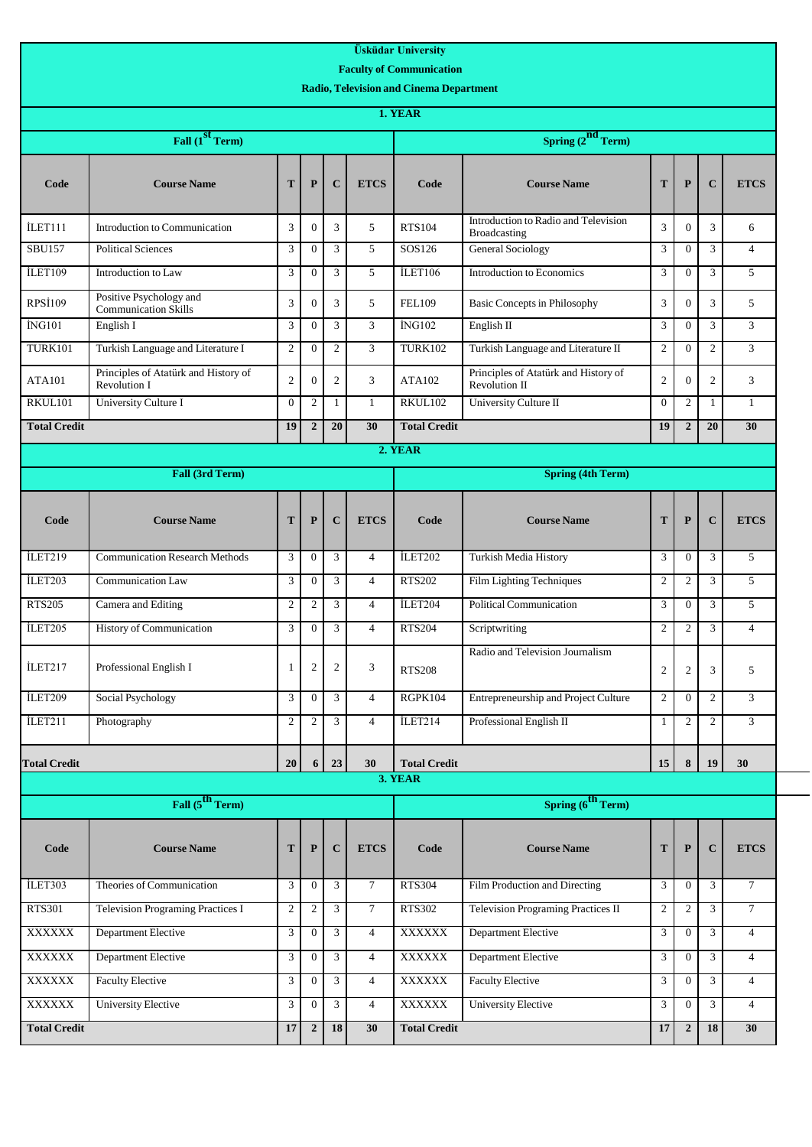| Fall $(1st Term)$                                                                       |                        |                  |                                                |                | <b>Faculty of Communication</b> |                                                       |                          |                  |                  |                |  |  |
|-----------------------------------------------------------------------------------------|------------------------|------------------|------------------------------------------------|----------------|---------------------------------|-------------------------------------------------------|--------------------------|------------------|------------------|----------------|--|--|
|                                                                                         |                        |                  |                                                |                |                                 |                                                       |                          |                  |                  |                |  |  |
|                                                                                         |                        |                  | <b>Radio, Television and Cinema Department</b> |                |                                 |                                                       |                          |                  |                  |                |  |  |
|                                                                                         | 1. YEAR                |                  |                                                |                |                                 |                                                       |                          |                  |                  |                |  |  |
|                                                                                         | Spring $(2^{nd}$ Term) |                  |                                                |                |                                 |                                                       |                          |                  |                  |                |  |  |
| <b>Course Name</b><br>T<br>Code                                                         |                        | P                | $\mathbf C$                                    | <b>ETCS</b>    | Code                            | <b>Course Name</b>                                    | T                        | ${\bf P}$        | $\mathbf C$      | <b>ETCS</b>    |  |  |
| İLET111<br>3<br>Introduction to Communication                                           |                        | $\theta$         | 3                                              | 5              | <b>RTS104</b>                   | Introduction to Radio and Television<br>Broadcasting  | 3                        | $\theta$         | 3                | 6              |  |  |
| <b>SBU157</b><br>3<br><b>Political Sciences</b>                                         |                        | $\theta$         | 3                                              | 5              | SOS126                          | General Sociology                                     | 3                        | $\theta$         | 3                | $\overline{4}$ |  |  |
| ILET109<br>3<br>Introduction to Law                                                     |                        | $\theta$         | 3                                              | 5              | ILET106                         | Introduction to Economics                             | 3                        | $\Omega$         | 3                | 5              |  |  |
| Positive Psychology and<br><b>RPSI109</b><br>3<br><b>Communication Skills</b>           |                        | $\mathbf{0}$     | 3                                              | 5              | <b>FEL109</b>                   | <b>Basic Concepts in Philosophy</b>                   | 3                        | $\mathbf{0}$     | 3                | 5              |  |  |
| İNG101<br>3<br>English I                                                                |                        | $\theta$         | 3                                              | 3              | İNG102                          | English II                                            | 3                        | $\theta$         | 3                | 3              |  |  |
| <b>TURK101</b><br>Turkish Language and Literature I<br>$\sqrt{2}$                       |                        | $\mathbf{0}$     | $\mathfrak{2}$                                 | 3              | <b>TURK102</b>                  | Turkish Language and Literature II                    | $\mathfrak{2}$           | $\Omega$         | $\overline{c}$   | 3              |  |  |
| Principles of Atatürk and History of<br>$\overline{2}$<br><b>ATA101</b><br>Revolution I |                        | $\mathbf{0}$     | $\overline{c}$                                 | 3              | ATA102                          | Principles of Atatürk and History of<br>Revolution II | $\overline{c}$           | $\Omega$         | $\mathfrak{2}$   | 3              |  |  |
| RKUL101<br>University Culture I<br>$\mathbf{0}$                                         |                        | 2                | $\mathbf{1}$                                   | $\mathbf{1}$   | RKUL102                         | University Culture II                                 | $\overline{0}$           | 2                | $\mathbf{1}$     | $\mathbf{1}$   |  |  |
| 19<br><b>Total Credit</b>                                                               |                        | $\overline{2}$   | 20                                             | 30             | <b>Total Credit</b>             |                                                       | 19                       | $\overline{2}$   | 20               | 30             |  |  |
|                                                                                         |                        | 2. YEAR          |                                                |                |                                 |                                                       |                          |                  |                  |                |  |  |
| Fall (3rd Term)                                                                         |                        |                  |                                                |                |                                 |                                                       | <b>Spring (4th Term)</b> |                  |                  |                |  |  |
| <b>Course Name</b><br>T<br>Code                                                         |                        | P                | $\mathbf C$                                    | <b>ETCS</b>    | Code                            | <b>Course Name</b>                                    | T                        | $\mathbf{P}$     | $\mathbf C$      | <b>ETCS</b>    |  |  |
| İLET219<br>3<br><b>Communication Research Methods</b>                                   |                        | $\overline{0}$   | 3                                              | $\overline{4}$ | İLET202                         | Turkish Media History                                 | 3                        | $\theta$         | 3                | 5              |  |  |
| İLET203<br>3<br>Communication Law                                                       |                        | $\mathbf{0}$     | 3                                              | $\overline{4}$ | <b>RTS202</b>                   | Film Lighting Techniques                              | 2                        | 2                | 3                | 5              |  |  |
| <b>RTS205</b><br>Camera and Editing<br>$\overline{2}$                                   |                        | 2                | 3                                              | $\overline{4}$ | ILET204                         | Political Communication                               | 3                        | $\mathbf{0}$     | 3                | 5              |  |  |
| İLET205<br>3<br>History of Communication                                                |                        | $\boldsymbol{0}$ | 3                                              | $\overline{4}$ | <b>RTS204</b>                   | Scriptwriting                                         | 2                        | $\mathfrak{2}$   | 3                | $\overline{4}$ |  |  |
| İLET217<br>Professional English I<br>1                                                  |                        | $\boldsymbol{2}$ | $\overline{c}$                                 | 3              | <b>RTS208</b>                   | Radio and Television Journalism                       | 2                        | $\sqrt{2}$       | 3                | 5              |  |  |
| İLET209<br>Social Psychology<br>3                                                       |                        | $\theta$         | 3                                              | $\overline{4}$ | RGPK104                         | Entrepreneurship and Project Culture                  | 2                        | $\theta$         | $\mathbf{2}$     | 3              |  |  |
| İLET211<br>Photography<br>$\mathfrak{2}$                                                |                        | 2                | 3                                              | $\overline{4}$ | İLET214                         | Professional English II                               | 1                        | $\mathfrak{2}$   | $\boldsymbol{2}$ | 3              |  |  |
| <b>Total Credit</b><br>20                                                               |                        | 6                | 23                                             | 30             | <b>Total Credit</b>             |                                                       | 15                       | 8                | 19               | 30             |  |  |
|                                                                                         |                        |                  |                                                |                | 3. YEAR                         |                                                       |                          |                  |                  |                |  |  |
| Fall (5 <sup>th</sup> Term)                                                             |                        |                  |                                                |                | Spring $(6^{th}$ Term)          |                                                       |                          |                  |                  |                |  |  |
| <b>Course Name</b><br>T<br>Code                                                         |                        | ${\bf P}$        | $\mathbf C$                                    | <b>ETCS</b>    | Code                            | <b>Course Name</b>                                    | T                        | ${\bf P}$        | $\mathbf C$      | <b>ETCS</b>    |  |  |
| İLET303<br>Theories of Communication<br>3                                               |                        | $\boldsymbol{0}$ | 3                                              | $\tau$         | <b>RTS304</b>                   | Film Production and Directing                         | 3                        | $\theta$         | 3                | $\tau$         |  |  |
| <b>RTS301</b><br><b>Television Programing Practices I</b><br>$\overline{2}$             |                        | $\overline{2}$   | 3                                              | $\overline{7}$ | <b>RTS302</b>                   | Television Programing Practices II                    | $\overline{c}$           | $\overline{2}$   | 3                | $\tau$         |  |  |
| <b>Department Elective</b><br>XXXXXX<br>3                                               |                        | $\theta$         | 3                                              | $\overline{4}$ | XXXXXX                          | <b>Department Elective</b>                            | 3                        | $\mathbf{0}$     | 3                | $\overline{4}$ |  |  |
| <b>XXXXXX</b><br><b>Department Elective</b><br>3                                        |                        | $\boldsymbol{0}$ | $\mathfrak{Z}$                                 | $\overline{4}$ | <b>XXXXXX</b>                   | <b>Department Elective</b>                            | 3                        | $\mathbf{0}$     | 3                | $\overline{4}$ |  |  |
| <b>XXXXXX</b><br><b>Faculty Elective</b><br>3                                           |                        | $\boldsymbol{0}$ | $\mathfrak{Z}$                                 | $\overline{4}$ | <b>XXXXXX</b>                   | <b>Faculty Elective</b>                               | 3                        | $\mathbf{0}$     | 3                | $\overline{4}$ |  |  |
| <b>XXXXXX</b><br><b>University Elective</b><br>3                                        |                        | $\boldsymbol{0}$ | 3                                              | $\overline{4}$ | <b>XXXXXX</b>                   | <b>University Elective</b>                            | 3                        | $\mathbf{0}$     | 3                | $\overline{4}$ |  |  |
| <b>Total Credit</b><br>17                                                               |                        | $\boldsymbol{2}$ | $\overline{18}$                                | 30             | <b>Total Credit</b>             |                                                       | 17                       | $\boldsymbol{2}$ | 18               | 30             |  |  |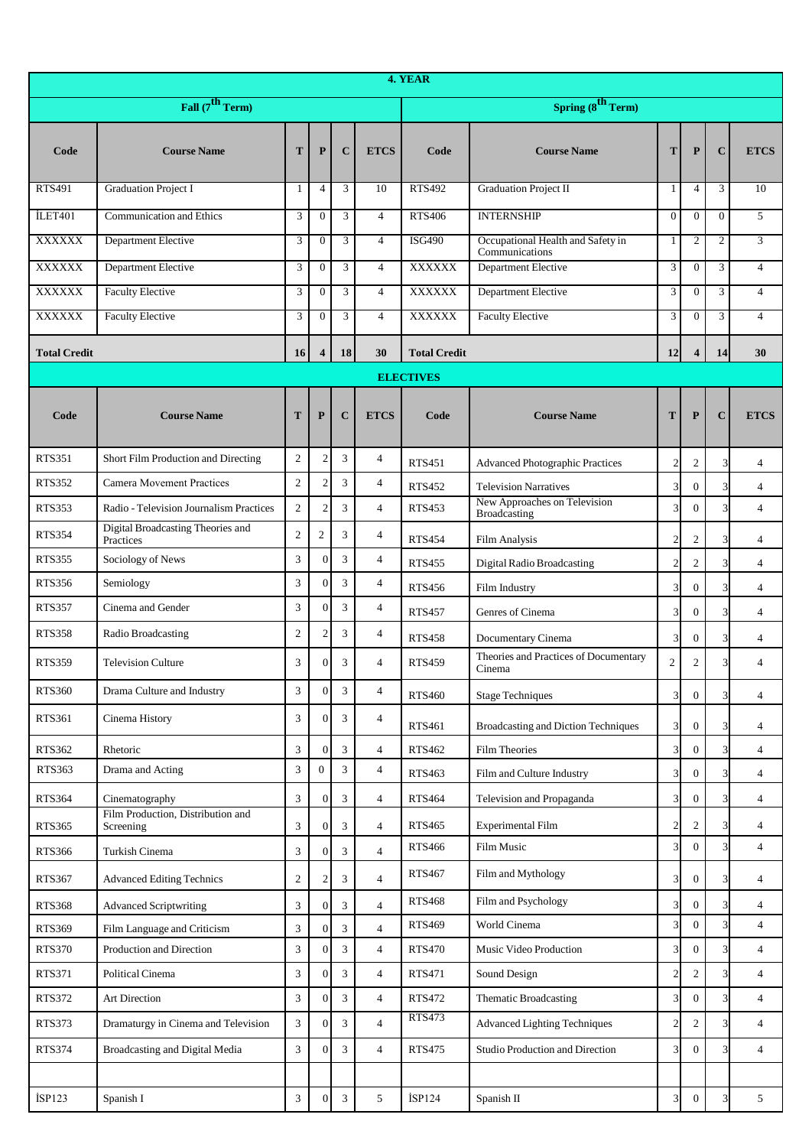|                             | 4. YEAR                                        |                |                         |                |                |                     |                                                     |                             |                         |                |                |  |
|-----------------------------|------------------------------------------------|----------------|-------------------------|----------------|----------------|---------------------|-----------------------------------------------------|-----------------------------|-------------------------|----------------|----------------|--|
| Fall $(7^{\text{th}}$ Term) |                                                |                |                         |                |                |                     | Spring $(8^{\text{th}}$ Term)                       |                             |                         |                |                |  |
| Code                        | <b>Course Name</b>                             | T              | $\mathbf{P}$            | $\mathbf C$    | <b>ETCS</b>    | Code                | <b>Course Name</b>                                  | T                           | $\mathbf{P}$            | $\mathbf C$    | <b>ETCS</b>    |  |
| <b>RTS491</b>               | <b>Graduation Project I</b>                    | 1              | $\overline{4}$          | 3              | 10             | <b>RTS492</b>       | <b>Graduation Project II</b>                        | 1                           | $\overline{4}$          | 3              | 10             |  |
| İLET <sub>401</sub>         | <b>Communication and Ethics</b>                | 3              | $\mathbf{0}$            | 3              | $\overline{4}$ | <b>RTS406</b>       | <b>INTERNSHIP</b>                                   | $\overline{0}$              | $\mathbf{0}$            | $\mathbf{0}$   | 5              |  |
| <b>XXXXXX</b>               | Department Elective                            | 3              | $\overline{0}$          | 3              | $\overline{4}$ | <b>ISG490</b>       | Occupational Health and Safety in<br>Communications | 1                           | $\overline{2}$          | $\mathfrak{2}$ | 3              |  |
| <b>XXXXXX</b>               | Department Elective                            | 3              | $\boldsymbol{0}$        | 3              | $\overline{4}$ | <b>XXXXXX</b>       | <b>Department Elective</b>                          | 3                           | $\mathbf{0}$            | 3              | $\overline{4}$ |  |
| <b>XXXXXX</b>               | <b>Faculty Elective</b>                        | 3              | $\overline{0}$          | 3              | $\overline{4}$ | <b>XXXXXX</b>       | <b>Department Elective</b>                          | 3                           | $\overline{0}$          | 3              | $\overline{4}$ |  |
| <b>XXXXXX</b>               | <b>Faculty Elective</b>                        | 3              | $\boldsymbol{0}$        | 3              | $\overline{4}$ | <b>XXXXXX</b>       | <b>Faculty Elective</b>                             | 3                           | $\mathbf{0}$            | 3              | $\overline{4}$ |  |
| <b>Total Credit</b>         |                                                | 16             | $\overline{\mathbf{4}}$ | 18             | 30             | <b>Total Credit</b> |                                                     | 12                          | $\overline{\mathbf{4}}$ | 14             | 30             |  |
|                             |                                                |                |                         |                |                | <b>ELECTIVES</b>    |                                                     |                             |                         |                |                |  |
| Code                        | <b>Course Name</b>                             | T              | $\mathbf{P}$            | $\mathbf C$    | <b>ETCS</b>    | Code                | <b>Course Name</b>                                  | T                           | ${\bf P}$               | $\mathbf C$    | <b>ETCS</b>    |  |
| <b>RTS351</b>               | Short Film Production and Directing            | 2              | $\mathfrak{2}$          | 3              | $\overline{4}$ | <b>RTS451</b>       | <b>Advanced Photographic Practices</b>              | $\overline{2}$              | $\overline{c}$          | 3              | $\overline{4}$ |  |
| <b>RTS352</b>               | Camera Movement Practices                      | 2              | $\mathfrak{2}$          | 3              | $\overline{4}$ | <b>RTS452</b>       | <b>Television Narratives</b>                        | $\overline{3}$              | $\boldsymbol{0}$        | 3              | $\overline{4}$ |  |
| <b>RTS353</b>               | Radio - Television Journalism Practices        | $\overline{2}$ | $\overline{2}$          | 3              | $\overline{4}$ | <b>RTS453</b>       | New Approaches on Television<br>Broadcasting        | $\overline{3}$              | $\Omega$                | 3              | $\overline{4}$ |  |
| <b>RTS354</b>               | Digital Broadcasting Theories and<br>Practices | $\overline{2}$ | $\mathfrak{2}$          | 3              | $\overline{4}$ | <b>RTS454</b>       | Film Analysis                                       | $\overline{2}$              | $\boldsymbol{2}$        | 3              | $\overline{4}$ |  |
| <b>RTS355</b>               | Sociology of News                              | 3              | $\theta$                | 3              | $\overline{4}$ | <b>RTS455</b>       | <b>Digital Radio Broadcasting</b>                   | $\overline{2}$              | $\overline{c}$          | 3              | $\overline{4}$ |  |
| <b>RTS356</b>               | Semiology                                      | $\mathfrak{Z}$ | $\theta$                | 3              | $\overline{4}$ | <b>RTS456</b>       | Film Industry                                       | $\mathfrak{Z}$              | $\overline{0}$          | 3              | $\overline{4}$ |  |
| <b>RTS357</b>               | Cinema and Gender                              | $\mathfrak{Z}$ | $\theta$                | 3              | $\overline{4}$ | <b>RTS457</b>       | Genres of Cinema                                    | $\mathfrak{Z}$              | $\overline{0}$          | 3              | $\overline{4}$ |  |
| <b>RTS358</b>               | Radio Broadcasting                             | 2              | $\overline{c}$          | 3              | $\overline{4}$ | <b>RTS458</b>       | Documentary Cinema                                  | $\overline{3}$              | $\boldsymbol{0}$        | 3              | $\overline{4}$ |  |
| <b>RTS359</b>               | <b>Television Culture</b>                      | 3              | $\Omega$                | 3              | 4              | <b>RTS459</b>       | Theories and Practices of Documentary<br>Cinema     | $\overline{2}$              | $\overline{c}$          | 3              | $\overline{4}$ |  |
| <b>RTS360</b>               | Drama Culture and Industry                     | 3              | $\Omega$                | 3              | 4              | <b>RTS460</b>       | <b>Stage Techniques</b>                             | $\overline{\mathbf{3}}$     | $\boldsymbol{0}$        | 3              | $\overline{4}$ |  |
| <b>RTS361</b>               | Cinema History                                 | 3              | $\mathbf{0}$            | 3              | 4              | <b>RTS461</b>       | Broadcasting and Diction Techniques                 | $\mathfrak{Z}$              | $\mathbf{0}$            | 3              | 4              |  |
| RTS362                      | Rhetoric                                       | 3              | $\theta$                | 3              | $\overline{4}$ | <b>RTS462</b>       | <b>Film Theories</b>                                | $\mathfrak{Z}$              | $\overline{0}$          | 3              | $\overline{4}$ |  |
| <b>RTS363</b>               | Drama and Acting                               | $\mathfrak{Z}$ | $\overline{0}$          | 3              | $\overline{4}$ | <b>RTS463</b>       | Film and Culture Industry                           | $\mathfrak{Z}$              | $\boldsymbol{0}$        | 3              | 4              |  |
| <b>RTS364</b>               | Cinematography                                 | 3              | $\mathbf{0}$            | 3              | $\overline{4}$ | <b>RTS464</b>       | Television and Propaganda                           | $\overline{\mathbf{3}}$     | $\boldsymbol{0}$        | 3              | 4              |  |
| <b>RTS365</b>               | Film Production, Distribution and<br>Screening | 3              | $\boldsymbol{0}$        | 3              | 4              | <b>RTS465</b>       | <b>Experimental Film</b>                            | $\overline{2}$              | 2                       | 3              | $\overline{4}$ |  |
| <b>RTS366</b>               | Turkish Cinema                                 | 3              | $\boldsymbol{0}$        | 3              | $\overline{4}$ | <b>RTS466</b>       | Film Music                                          | 3                           | $\Omega$                | 3              | $\overline{4}$ |  |
| <b>RTS367</b>               | <b>Advanced Editing Technics</b>               | $\overline{2}$ | 2                       | 3              | $\overline{4}$ | <b>RTS467</b>       | Film and Mythology                                  | $\overline{\mathbf{3}}$     | $\boldsymbol{0}$        | 3              | 4              |  |
| <b>RTS368</b>               | <b>Advanced Scriptwriting</b>                  | 3              | $\mathbf{0}$            | 3              | $\overline{4}$ | <b>RTS468</b>       | Film and Psychology                                 | $\overline{\mathbf{3}}$     | $\overline{0}$          | 3              | 4              |  |
| RTS369                      | Film Language and Criticism                    | 3              | $\boldsymbol{0}$        | 3              | 4              | <b>RTS469</b>       | World Cinema                                        | $\mathfrak{Z}$              | $\Omega$                | 3              | $\overline{4}$ |  |
| <b>RTS370</b>               | Production and Direction                       | 3              | $\overline{0}$          | 3              | $\overline{4}$ | <b>RTS470</b>       | Music Video Production                              | $\overline{\mathbf{3}}$     | $\overline{0}$          | 3              | $\overline{4}$ |  |
| RTS371                      | Political Cinema                               | $\mathfrak{Z}$ | $\theta$                | 3              | $\overline{4}$ | <b>RTS471</b>       | Sound Design                                        | $\mathbf{2}$                | $\overline{c}$          | 3              | $\overline{4}$ |  |
| RTS372                      | Art Direction                                  | $\overline{3}$ | $\overline{0}$          | 3              | 4              | <b>RTS472</b>       | <b>Thematic Broadcasting</b>                        | $\mathfrak{Z}$              | $\overline{0}$          | 3              | $\overline{4}$ |  |
| <b>RTS373</b>               | Dramaturgy in Cinema and Television            | 3              | $\theta$                | 3              | $\overline{4}$ | <b>RTS473</b>       | <b>Advanced Lighting Techniques</b>                 | $\mathbf{2}$                | $\overline{c}$          | 3              | $\overline{4}$ |  |
| <b>RTS374</b>               | Broadcasting and Digital Media                 | $\overline{3}$ | $\theta$                | 3              | $\overline{4}$ | <b>RTS475</b>       | Studio Production and Direction                     | $\overline{\mathbf{3}}$     | $\overline{0}$          | 3              | $\overline{4}$ |  |
|                             |                                                |                |                         |                |                |                     |                                                     |                             |                         |                |                |  |
| ISP123                      | Spanish I                                      | 3              | $\mathbf{0}$            | $\mathfrak{Z}$ | 5              | İSP124              | Spanish II                                          | $\mathfrak{Z}_{\mathbb{Z}}$ | $\overline{0}$          |                | 5              |  |